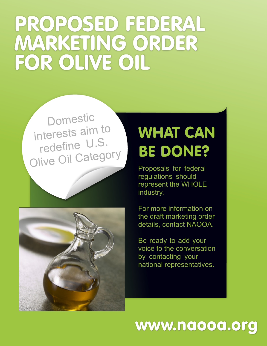# PROPOSED FEDERAL MARKETING ORDER FOR OLIVE OIL

Domestic interests aim to redefine U.S. Olive Oil Category



## WHAT CAN BE DONE?

Proposals for federal regulations should represent the WHOLE industry.

For more information on the draft marketing order details, contact NAOOA.

Be ready to add your voice to the conversation by contacting your national representatives.

### www.naooa.org